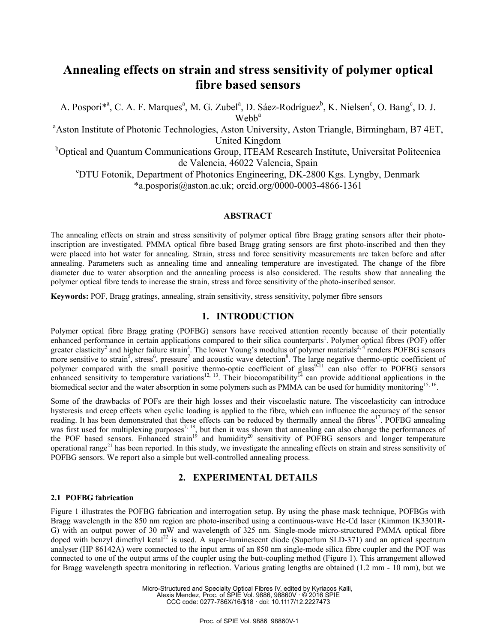# **Annealing effects on strain and stress sensitivity of polymer optical fibre based sensors**

A. Pospori<sup>\*a</sup>, C. A. F. Marques<sup>a</sup>, M. G. Zubel<sup>a</sup>, D. Sáez-Rodríguez<sup>b</sup>, K. Nielsen<sup>c</sup>, O. Bang<sup>c</sup>, D. J. Wehh<sup>a</sup>

<sup>a</sup> Aston Institute of Photonic Technologies, Aston University, Aston Triangle, Birmingham, B7 4ET, United Kingdom

<sup>b</sup>Optical and Quantum Communications Group, ITEAM Research Institute, Universitat Politecnica de Valencia, 46022 Valencia, Spain

DTU Fotonik, Department of Photonics Engineering, DK-2800 Kgs. Lyngby, Denmark \*a.posporis@aston.ac.uk; orcid.org/0000-0003-4866-1361

#### **ABSTRACT**

The annealing effects on strain and stress sensitivity of polymer optical fibre Bragg grating sensors after their photoinscription are investigated. PMMA optical fibre based Bragg grating sensors are first photo-inscribed and then they were placed into hot water for annealing. Strain, stress and force sensitivity measurements are taken before and after annealing. Parameters such as annealing time and annealing temperature are investigated. The change of the fibre diameter due to water absorption and the annealing process is also considered. The results show that annealing the polymer optical fibre tends to increase the strain, stress and force sensitivity of the photo-inscribed sensor.

**Keywords:** POF, Bragg gratings, annealing, strain sensitivity, stress sensitivity, polymer fibre sensors

## **1. INTRODUCTION**

Polymer optical fibre Bragg grating (POFBG) sensors have received attention recently because of their potentially enhanced performance in certain applications compared to their silica counterparts<sup>1</sup>. Polymer optical fibres (POF) offer greater elasticity<sup>2</sup> and higher failure strain<sup>3</sup>. The lower Young's modulus of polymer materials<sup>2, 4</sup> renders POFBG sensors more sensitive to strain<sup>5</sup>, stress<sup>6</sup>, pressure<sup>7</sup> and acoustic wave detection<sup>8</sup>. The large negative thermo-optic coefficient of polymer compared with the small positive thermo-optic coefficient of glass<sup>9-11</sup> can also offer to POFBG sensors enhanced sensitivity to temperature variations<sup>12, 13</sup>. Their biocompatibility<sup>14</sup> can provide additional applications in the biomedical sector and the water absorption in some polymers such as PMMA can be used for humidity monitoring<sup>15, 16</sup>.

Some of the drawbacks of POFs are their high losses and their viscoelastic nature. The viscoelasticity can introduce hysteresis and creep effects when cyclic loading is applied to the fibre, which can influence the accuracy of the sensor reading. It has been demonstrated that these effects can be reduced by thermally anneal the fibres<sup>17</sup>. POFBG annealing was first used for multiplexing purposes<sup>7, 18</sup>, but then it was shown that annealing can also change the performances of the POF based sensors. Enhanced strain<sup>19</sup> and humidity<sup>20</sup> sensitivity of POFBG sensors and longer temperature operational range<sup>21</sup> has been reported. In this study, we investigate the annealing effects on strain and stress sensitivity of POFBG sensors. We report also a simple but well-controlled annealing process.

## **2. EXPERIMENTAL DETAILS**

### **2.1 POFBG fabrication**

Figure 1 illustrates the POFBG fabrication and interrogation setup. By using the phase mask technique, POFBGs with Bragg wavelength in the 850 nm region are photo-inscribed using a continuous-wave He-Cd laser (Kimmon IK3301R-G) with an output power of 30 mW and wavelength of 325 nm. Single-mode micro-structured PMMA optical fibre doped with benzyl dimethyl ketal<sup>22</sup> is used. A super-luminescent diode (Superlum SLD-371) and an optical spectrum analyser (HP 86142A) were connected to the input arms of an 850 nm single-mode silica fibre coupler and the POF was connected to one of the output arms of the coupler using the butt-coupling method (Figure 1). This arrangement allowed for Bragg wavelength spectra monitoring in reflection. Various grating lengths are obtained (1.2 mm - 10 mm), but we

> Micro-Structured and Specialty Optical Fibres IV, edited by Kyriacos Kalli, Alexis Mendez, Proc. of SPIE Vol. 9886, 98860V · © 2016 SPIE CCC code: 0277-786X/16/\$18 · doi: 10.1117/12.2227473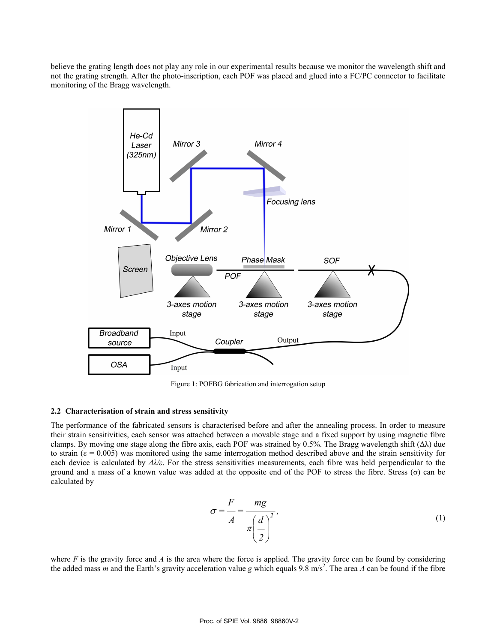believe the grating length does not play any role in our experimental results because we monitor the wavelength shift and not the grating strength. After the photo-inscription, each POF was placed and glued into a FC/PC connector to facilitate monitoring of the Bragg wavelength.



Figure 1: POFBG fabrication and interrogation setup

#### **2.2 Characterisation of strain and stress sensitivity**

The performance of the fabricated sensors is characterised before and after the annealing process. In order to measure their strain sensitivities, each sensor was attached between a movable stage and a fixed support by using magnetic fibre clamps. By moving one stage along the fibre axis, each POF was strained by 0.5%. The Bragg wavelength shift  $(\Delta \lambda)$  due to strain ( $\varepsilon = 0.005$ ) was monitored using the same interrogation method described above and the strain sensitivity for each device is calculated by  $\Delta \lambda/\varepsilon$ . For the stress sensitivities measurements, each fibre was held perpendicular to the ground and a mass of a known value was added at the opposite end of the POF to stress the fibre. Stress (σ) can be calculated by

$$
\sigma = \frac{F}{A} = \frac{mg}{\pi \left(\frac{d}{2}\right)^2},\tag{1}
$$

where  $F$  is the gravity force and  $\hat{A}$  is the area where the force is applied. The gravity force can be found by considering the added mass *m* and the Earth's gravity acceleration value *g* which equals 9.8 m/s<sup>2</sup>. The area *A* can be found if the fibre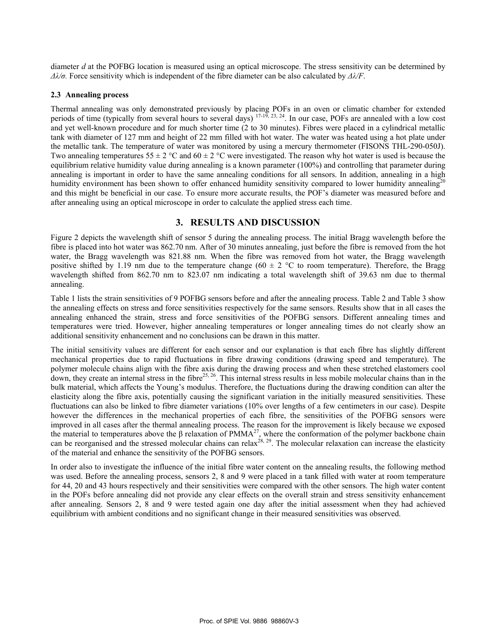diameter *d* at the POFBG location is measured using an optical microscope. The stress sensitivity can be determined by *Δλ/σ.* Force sensitivity which is independent of the fibre diameter can be also calculated by *Δλ/F*.

#### **2.3 Annealing process**

Thermal annealing was only demonstrated previously by placing POFs in an oven or climatic chamber for extended periods of time (typically from several hours to several days)  $17-19$ ,  $23$ ,  $24$ . In our case, POFs are annealed with a low cost and yet well-known procedure and for much shorter time (2 to 30 minutes). Fibres were placed in a cylindrical metallic tank with diameter of 127 mm and height of 22 mm filled with hot water. The water was heated using a hot plate under the metallic tank. The temperature of water was monitored by using a mercury thermometer (FISONS THL-290-050J). Two annealing temperatures  $55 \pm 2$  °C and  $60 \pm 2$  °C were investigated. The reason why hot water is used is because the equilibrium relative humidity value during annealing is a known parameter (100%) and controlling that parameter during annealing is important in order to have the same annealing conditions for all sensors. In addition, annealing in a high humidity environment has been shown to offer enhanced humidity sensitivity compared to lower humidity annealing<sup>20</sup> and this might be beneficial in our case. To ensure more accurate results, the POF's diameter was measured before and after annealing using an optical microscope in order to calculate the applied stress each time.

## **3. RESULTS AND DISCUSSION**

Figure 2 depicts the wavelength shift of sensor 5 during the annealing process. The initial Bragg wavelength before the fibre is placed into hot water was 862.70 nm. After of 30 minutes annealing, just before the fibre is removed from the hot water, the Bragg wavelength was 821.88 nm. When the fibre was removed from hot water, the Bragg wavelength positive shifted by 1.19 nm due to the temperature change (60  $\pm$  2 °C to room temperature). Therefore, the Bragg wavelength shifted from 862.70 nm to 823.07 nm indicating a total wavelength shift of 39.63 nm due to thermal annealing.

Table 1 lists the strain sensitivities of 9 POFBG sensors before and after the annealing process. Table 2 and Table 3 show the annealing effects on stress and force sensitivities respectively for the same sensors. Results show that in all cases the annealing enhanced the strain, stress and force sensitivities of the POFBG sensors. Different annealing times and temperatures were tried. However, higher annealing temperatures or longer annealing times do not clearly show an additional sensitivity enhancement and no conclusions can be drawn in this matter.

The initial sensitivity values are different for each sensor and our explanation is that each fibre has slightly different mechanical properties due to rapid fluctuations in fibre drawing conditions (drawing speed and temperature). The polymer molecule chains align with the fibre axis during the drawing process and when these stretched elastomers cool down, they create an internal stress in the fibre $^{25, 26}$ . This internal stress results in less mobile molecular chains than in the bulk material, which affects the Young's modulus. Therefore, the fluctuations during the drawing condition can alter the elasticity along the fibre axis, potentially causing the significant variation in the initially measured sensitivities. These fluctuations can also be linked to fibre diameter variations (10% over lengths of a few centimeters in our case). Despite however the differences in the mechanical properties of each fibre, the sensitivities of the POFBG sensors were improved in all cases after the thermal annealing process. The reason for the improvement is likely because we exposed the material to temperatures above the  $\beta$  relaxation of PMMA<sup>27</sup>, where the conformation of the polymer backbone chain can be reorganised and the stressed molecular chains can relax<sup>28, 29</sup>. The molecular relaxation can increase the elasticity of the material and enhance the sensitivity of the POFBG sensors.

In order also to investigate the influence of the initial fibre water content on the annealing results, the following method was used. Before the annealing process, sensors 2, 8 and 9 were placed in a tank filled with water at room temperature for 44, 20 and 43 hours respectively and their sensitivities were compared with the other sensors. The high water content in the POFs before annealing did not provide any clear effects on the overall strain and stress sensitivity enhancement after annealing. Sensors 2, 8 and 9 were tested again one day after the initial assessment when they had achieved equilibrium with ambient conditions and no significant change in their measured sensitivities was observed.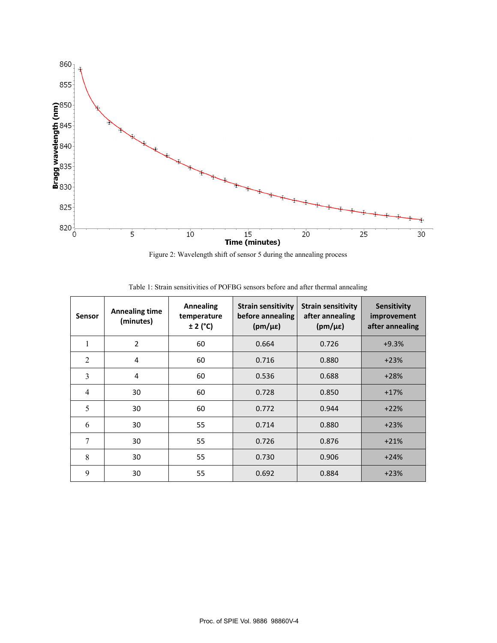

Figure 2: Wavelength shift of sensor 5 during the annealing process

| Sensor         | <b>Annealing time</b><br>(minutes) | <b>Annealing</b><br>temperature<br>$± 2$ ( $°C$ ) | <b>Strain sensitivity</b><br>before annealing<br>$(pm/\mu\epsilon)$ | <b>Strain sensitivity</b><br>after annealing<br>$(pm/\mu\epsilon)$ | <b>Sensitivity</b><br>improvement<br>after annealing |
|----------------|------------------------------------|---------------------------------------------------|---------------------------------------------------------------------|--------------------------------------------------------------------|------------------------------------------------------|
|                | $\overline{2}$                     | 60                                                | 0.664                                                               | 0.726                                                              | $+9.3%$                                              |
| $\overline{2}$ | 4                                  | 60                                                | 0.716                                                               | 0.880                                                              | $+23%$                                               |
| 3              | $\overline{4}$                     | 60                                                | 0.536                                                               | 0.688                                                              | $+28%$                                               |
| $\overline{4}$ | 30                                 | 60                                                | 0.728                                                               | 0.850                                                              | $+17%$                                               |
| 5              | 30                                 | 60                                                | 0.772                                                               | 0.944                                                              | $+22%$                                               |
| 6              | 30                                 | 55                                                | 0.714                                                               | 0.880                                                              | $+23%$                                               |
| 7              | 30                                 | 55                                                | 0.726                                                               | 0.876                                                              | $+21%$                                               |
| 8              | 30                                 | 55                                                | 0.730                                                               | 0.906                                                              | $+24%$                                               |
| 9              | 30                                 | 55                                                | 0.692                                                               | 0.884                                                              | $+23%$                                               |

Table 1: Strain sensitivities of POFBG sensors before and after thermal annealing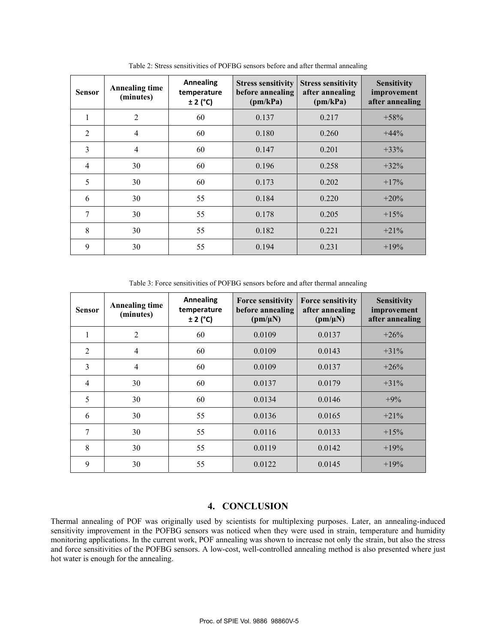| <b>Sensor</b>  | <b>Annealing time</b><br>(minutes) | <b>Annealing</b><br>temperature<br>$± 2$ ( $°C$ ) | <b>Stress sensitivity</b><br>before annealing<br>(pm/kPa) | <b>Stress sensitivity</b><br>after annealing<br>(pm/kPa) | <b>Sensitivity</b><br>improvement<br>after annealing |
|----------------|------------------------------------|---------------------------------------------------|-----------------------------------------------------------|----------------------------------------------------------|------------------------------------------------------|
| $\mathbf{1}$   | $\overline{2}$                     | 60                                                | 0.137                                                     | 0.217                                                    | $+58%$                                               |
| 2              | 4                                  | 60                                                | 0.180                                                     | 0.260                                                    | $+44\%$                                              |
| 3              | $\overline{4}$                     | 60                                                | 0.147                                                     | 0.201                                                    | $+33%$                                               |
| $\overline{4}$ | 30                                 | 60                                                | 0.196                                                     | 0.258                                                    | $+32%$                                               |
| 5              | 30                                 | 60                                                | 0.173                                                     | 0.202                                                    | $+17%$                                               |
| 6              | 30                                 | 55                                                | 0.184                                                     | 0.220                                                    | $+20%$                                               |
| 7              | 30                                 | 55                                                | 0.178                                                     | 0.205                                                    | $+15%$                                               |
| 8              | 30                                 | 55                                                | 0.182                                                     | 0.221                                                    | $+21\%$                                              |
| 9              | 30                                 | 55                                                | 0.194                                                     | 0.231                                                    | $+19%$                                               |

Table 2: Stress sensitivities of POFBG sensors before and after thermal annealing

Table 3: Force sensitivities of POFBG sensors before and after thermal annealing

| <b>Sensor</b>  | <b>Annealing time</b><br>(minutes) | <b>Annealing</b><br>temperature<br>$\pm$ 2 (°C) | <b>Force sensitivity</b><br>before annealing<br>$(pm/\mu N)$ | <b>Force sensitivity</b><br>after annealing<br>$(pm/\mu N)$ | <b>Sensitivity</b><br>improvement<br>after annealing |
|----------------|------------------------------------|-------------------------------------------------|--------------------------------------------------------------|-------------------------------------------------------------|------------------------------------------------------|
| 1              | 2                                  | 60                                              | 0.0109                                                       | 0.0137                                                      | $+26%$                                               |
| $\overline{2}$ | $\overline{4}$                     | 60                                              | 0.0109                                                       | 0.0143                                                      | $+31%$                                               |
| $\overline{3}$ | $\overline{4}$                     | 60                                              | 0.0109                                                       | 0.0137                                                      | $+26%$                                               |
| $\overline{4}$ | 30                                 | 60                                              | 0.0137                                                       | 0.0179                                                      | $+31%$                                               |
| 5              | 30                                 | 60                                              | 0.0134                                                       | 0.0146                                                      | $+9%$                                                |
| 6              | 30                                 | 55                                              | 0.0136                                                       | 0.0165                                                      | $+21%$                                               |
| 7              | 30                                 | 55                                              | 0.0116                                                       | 0.0133                                                      | $+15%$                                               |
| 8              | 30                                 | 55                                              | 0.0119                                                       | 0.0142                                                      | $+19%$                                               |
| 9              | 30                                 | 55                                              | 0.0122                                                       | 0.0145                                                      | $+19%$                                               |

## **4. CONCLUSION**

Thermal annealing of POF was originally used by scientists for multiplexing purposes. Later, an annealing-induced sensitivity improvement in the POFBG sensors was noticed when they were used in strain, temperature and humidity monitoring applications. In the current work, POF annealing was shown to increase not only the strain, but also the stress and force sensitivities of the POFBG sensors. A low-cost, well-controlled annealing method is also presented where just hot water is enough for the annealing.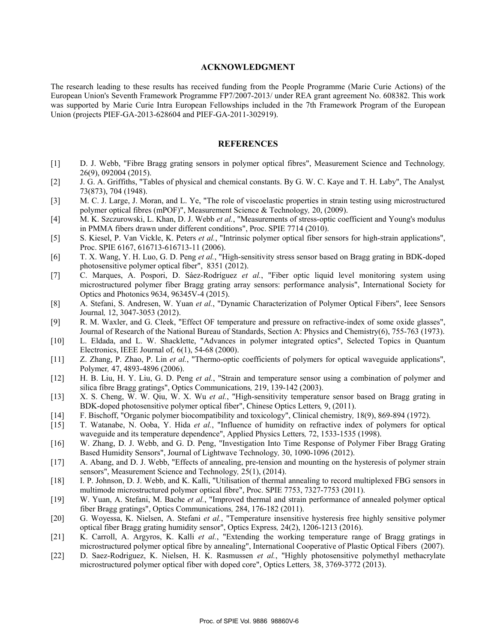#### **ACKNOWLEDGMENT**

The research leading to these results has received funding from the People Programme (Marie Curie Actions) of the European Union's Seventh Framework Programme FP7/2007-2013/ under REA grant agreement No. 608382. This work was supported by Marie Curie Intra European Fellowships included in the 7th Framework Program of the European Union (projects PIEF-GA-2013-628604 and PIEF-GA-2011-302919).

#### **REFERENCES**

- [1] D. J. Webb, "Fibre Bragg grating sensors in polymer optical fibres", Measurement Science and Technology*,* 26(9), 092004 (2015).
- [2] J. G. A. Griffiths, "Tables of physical and chemical constants. By G. W. C. Kaye and T. H. Laby", The Analyst*,* 73(873), 704 (1948).
- [3] M. C. J. Large, J. Moran, and L. Ye, "The role of viscoelastic properties in strain testing using microstructured polymer optical fibres (mPOF)", Measurement Science & Technology*,* 20, (2009).
- [4] M. K. Szczurowski, L. Khan, D. J. Webb *et al.*, "Measurements of stress-optic coefficient and Young's modulus in PMMA fibers drawn under different conditions", Proc. SPIE 7714 (2010).
- [5] S. Kiesel, P. Van Vickle, K. Peters *et al.*, "Intrinsic polymer optical fiber sensors for high-strain applications", Proc. SPIE 6167, 616713-616713-11 (2006).
- [6] T. X. Wang, Y. H. Luo, G. D. Peng *et al.*, "High-sensitivity stress sensor based on Bragg grating in BDK-doped photosensitive polymer optical fiber", 8351 (2012).
- [7] C. Marques, A. Pospori, D. Sáez-Rodríguez *et al.*, "Fiber optic liquid level monitoring system using microstructured polymer fiber Bragg grating array sensors: performance analysis", International Society for Optics and Photonics 9634, 96345V-4 (2015).
- [8] A. Stefani, S. Andresen, W. Yuan *et al.*, "Dynamic Characterization of Polymer Optical Fibers", Ieee Sensors Journal*,* 12, 3047-3053 (2012).
- [9] R. M. Waxler, and G. Cleek, "Effect OF temperature and pressure on refractive-index of some oxide glasses", Journal of Research of the National Bureau of Standards, Section A: Physics and Chemistry(6), 755-763 (1973).
- [10] L. Eldada, and L. W. Shacklette, "Advances in polymer integrated optics", Selected Topics in Quantum Electronics, IEEE Journal of*,* 6(1), 54-68 (2000).
- [11] Z. Zhang, P. Zhao, P. Lin *et al.*, "Thermo-optic coefficients of polymers for optical waveguide applications", Polymer*,* 47, 4893-4896 (2006).
- [12] H. B. Liu, H. Y. Liu, G. D. Peng *et al.*, "Strain and temperature sensor using a combination of polymer and silica fibre Bragg gratings", Optics Communications*,* 219, 139-142 (2003).
- [13] X. S. Cheng, W. W. Qiu, W. X. Wu *et al.*, "High-sensitivity temperature sensor based on Bragg grating in BDK-doped photosensitive polymer optical fiber", Chinese Optics Letters*,* 9, (2011).
- [14] F. Bischoff, "Organic polymer biocompatibility and toxicology", Clinical chemistry*,* 18(9), 869-894 (1972).
- [15] T. Watanabe, N. Ooba, Y. Hida *et al.*, "Influence of humidity on refractive index of polymers for optical waveguide and its temperature dependence", Applied Physics Letters*,* 72, 1533-1535 (1998).
- [16] W. Zhang, D. J. Webb, and G. D. Peng, "Investigation Into Time Response of Polymer Fiber Bragg Grating Based Humidity Sensors", Journal of Lightwave Technology*,* 30, 1090-1096 (2012).
- [17] A. Abang, and D. J. Webb, "Effects of annealing, pre-tension and mounting on the hysteresis of polymer strain sensors", Measurement Science and Technology*,* 25(1), (2014).
- [18] I. P. Johnson, D. J. Webb, and K. Kalli, "Utilisation of thermal annealing to record multiplexed FBG sensors in multimode microstructured polymer optical fibre", Proc. SPIE 7753, 7327-7753 (2011).
- [19] W. Yuan, A. Stefani, M. Bache *et al.*, "Improved thermal and strain performance of annealed polymer optical fiber Bragg gratings", Optics Communications*,* 284, 176-182 (2011).
- [20] G. Woyessa, K. Nielsen, A. Stefani *et al.*, "Temperature insensitive hysteresis free highly sensitive polymer optical fiber Bragg grating humidity sensor", Optics Express*,* 24(2), 1206-1213 (2016).
- [21] K. Carroll, A. Argyros, K. Kalli *et al.*, "Extending the working temperature range of Bragg gratings in microstructured polymer optical fibre by annealing", International Cooperative of Plastic Optical Fibers (2007).
- [22] D. Saez-Rodriguez, K. Nielsen, H. K. Rasmussen *et al.*, "Highly photosensitive polymethyl methacrylate microstructured polymer optical fiber with doped core", Optics Letters*,* 38, 3769-3772 (2013).